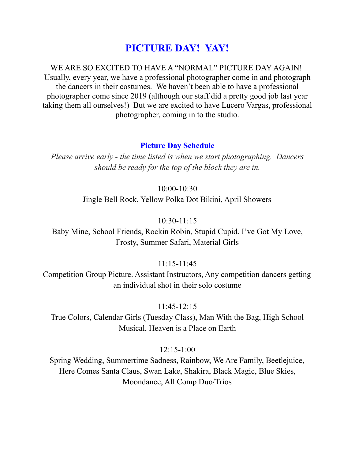# **PICTURE DAY! YAY!**

WE ARE SO EXCITED TO HAVE A "NORMAL" PICTURE DAY AGAIN! Usually, every year, we have a professional photographer come in and photograph the dancers in their costumes. We haven't been able to have a professional photographer come since 2019 (although our staff did a pretty good job last year taking them all ourselves!) But we are excited to have Lucero Vargas, professional photographer, coming in to the studio.

#### **Picture Day Schedule**

*Please arrive early - the time listed is when we start photographing. Dancers should be ready for the top of the block they are in.*

#### 10:00-10:30

Jingle Bell Rock, Yellow Polka Dot Bikini, April Showers

#### $10:30-11:15$

Baby Mine, School Friends, Rockin Robin, Stupid Cupid, I've Got My Love, Frosty, Summer Safari, Material Girls

#### 11:15-11:45

Competition Group Picture. Assistant Instructors, Any competition dancers getting an individual shot in their solo costume

#### 11:45-12:15

True Colors, Calendar Girls (Tuesday Class), Man With the Bag, High School Musical, Heaven is a Place on Earth

#### $12:15-1:00$

Spring Wedding, Summertime Sadness, Rainbow, We Are Family, Beetlejuice, Here Comes Santa Claus, Swan Lake, Shakira, Black Magic, Blue Skies, Moondance, All Comp Duo/Trios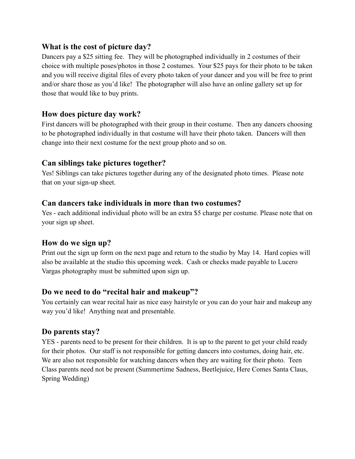## **What is the cost of picture day?**

Dancers pay a \$25 sitting fee. They will be photographed individually in 2 costumes of their choice with multiple poses/photos in those 2 costumes. Your \$25 pays for their photo to be taken and you will receive digital files of every photo taken of your dancer and you will be free to print and/or share those as you'd like! The photographer will also have an online gallery set up for those that would like to buy prints.

## **How does picture day work?**

First dancers will be photographed with their group in their costume. Then any dancers choosing to be photographed individually in that costume will have their photo taken. Dancers will then change into their next costume for the next group photo and so on.

## **Can siblings take pictures together?**

Yes! Siblings can take pictures together during any of the designated photo times. Please note that on your sign-up sheet.

## **Can dancers take individuals in more than two costumes?**

Yes - each additional individual photo will be an extra \$5 charge per costume. Please note that on your sign up sheet.

## **How do we sign up?**

Print out the sign up form on the next page and return to the studio by May 14. Hard copies will also be available at the studio this upcoming week. Cash or checks made payable to Lucero Vargas photography must be submitted upon sign up.

## **Do we need to do "recital hair and makeup"?**

You certainly can wear recital hair as nice easy hairstyle or you can do your hair and makeup any way you'd like! Anything neat and presentable.

## **Do parents stay?**

YES - parents need to be present for their children. It is up to the parent to get your child ready for their photos. Our staff is not responsible for getting dancers into costumes, doing hair, etc. We are also not responsible for watching dancers when they are waiting for their photo. Teen Class parents need not be present (Summertime Sadness, Beetlejuice, Here Comes Santa Claus, Spring Wedding)